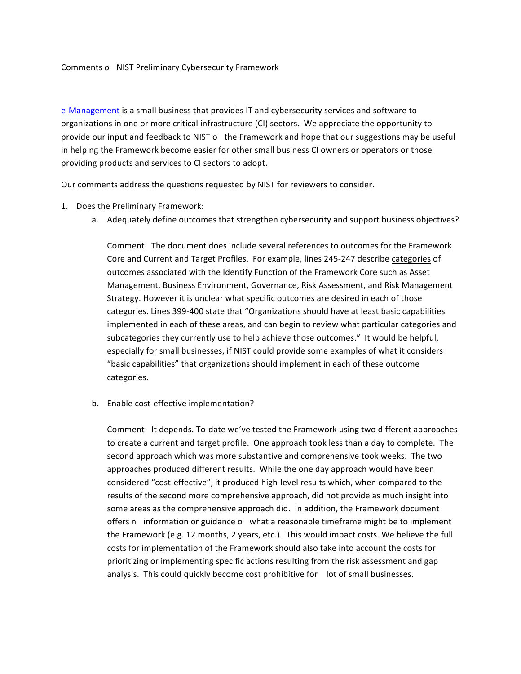## Comments o NIST Preliminary Cybersecurity Framework

e-Management is a small business that provides IT and cybersecurity services and software to organizations in one or more critical infrastructure (CI) sectors. We appreciate the opportunity to provide our input and feedback to NIST o the Framework and hope that our suggestions may be useful in helping the Framework become easier for other small business CI owners or operators or those providing products and services to CI sectors to adopt.

Our comments address the questions requested by NIST for reviewers to consider.

- 1. Does the Preliminary Framework:
	- a. Adequately define outcomes that strengthen cybersecurity and support business objectives?

Comment: The document does include several references to outcomes for the Framework Core and Current and Target Profiles. For example, lines 245-247 describe categories of outcomes associated with the Identify Function of the Framework Core such as Asset Management, Business Environment, Governance, Risk Assessment, and Risk Management Strategy. However it is unclear what specific outcomes are desired in each of those categories. Lines 399-400 state that "Organizations should have at least basic capabilities implemented in each of these areas, and can begin to review what particular categories and subcategories they currently use to help achieve those outcomes." It would be helpful, especially for small businesses, if NIST could provide some examples of what it considers "basic capabilities" that organizations should implement in each of these outcome categories.

b. Enable cost-effective implementation?

Comment: It depends. To-date we've tested the Framework using two different approaches to create a current and target profile. One approach took less than a day to complete. The second approach which was more substantive and comprehensive took weeks. The two approaches produced different results. While the one day approach would have been considered "cost-effective", it produced high-level results which, when compared to the results of the second more comprehensive approach, did not provide as much insight into some areas as the comprehensive approach did. In addition, the Framework document offers n information or guidance o what a reasonable timeframe might be to implement the Framework (e.g. 12 months, 2 years, etc.). This would impact costs. We believe the full costs for implementation of the Framework should also take into account the costs for prioritizing or implementing specific actions resulting from the risk assessment and gap analysis. This could quickly become cost prohibitive for lot of small businesses.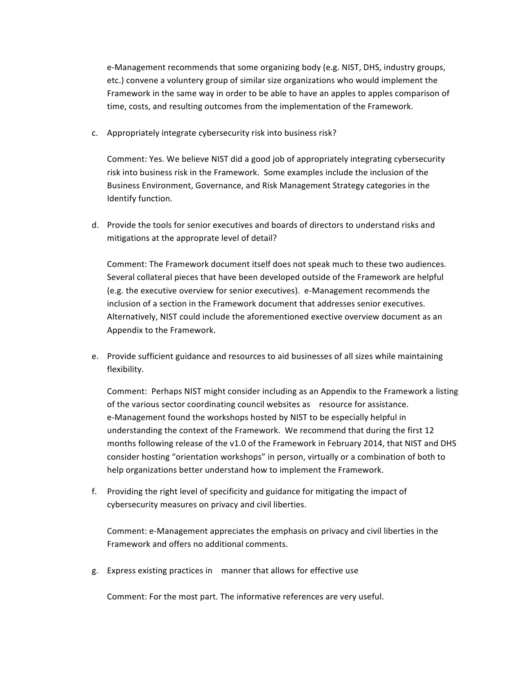e-Management recommends that some organizing body (e.g. NIST, DHS, industry groups, etc.) convene a voluntery group of similar size organizations who would implement the Framework in the same way in order to be able to have an apples to apples comparison of time, costs, and resulting outcomes from the implementation of the Framework.

c. Appropriately integrate cybersecurity risk into business risk?

Comment: Yes. We believe NIST did a good job of appropriately integrating cybersecurity risk into business risk in the Framework. Some examples include the inclusion of the Business Environment, Governance, and Risk Management Strategy categories in the Identify function.

d. Provide the tools for senior executives and boards of directors to understand risks and mitigations at the approprate level of detail?

Comment: The Framework document itself does not speak much to these two audiences. Several collateral pieces that have been developed outside of the Framework are helpful (e.g. the executive overview for senior executives). e-Management recommends the inclusion of a section in the Framework document that addresses senior executives. Alternatively, NIST could include the aforementioned exective overview document as an Appendix to the Framework.

e. Provide sufficient guidance and resources to aid businesses of all sizes while maintaining flexibility.

Comment: Perhaps NIST might consider including as an Appendix to the Framework a listing of the various sector coordinating council websites as resource for assistance. e-Management found the workshops hosted by NIST to be especially helpful in understanding the context of the Framework. We recommend that during the first 12 months following release of the v1.0 of the Framework in February 2014, that NIST and DHS consider hosting "orientation workshops" in person, virtually or a combination of both to help organizations better understand how to implement the Framework.

f. Providing the right level of specificity and guidance for mitigating the impact of cybersecurity measures on privacy and civil liberties.

Comment: e-Management appreciates the emphasis on privacy and civil liberties in the Framework and offers no additional comments.

g. Express existing practices in manner that allows for effective use

Comment: For the most part. The informative references are very useful.